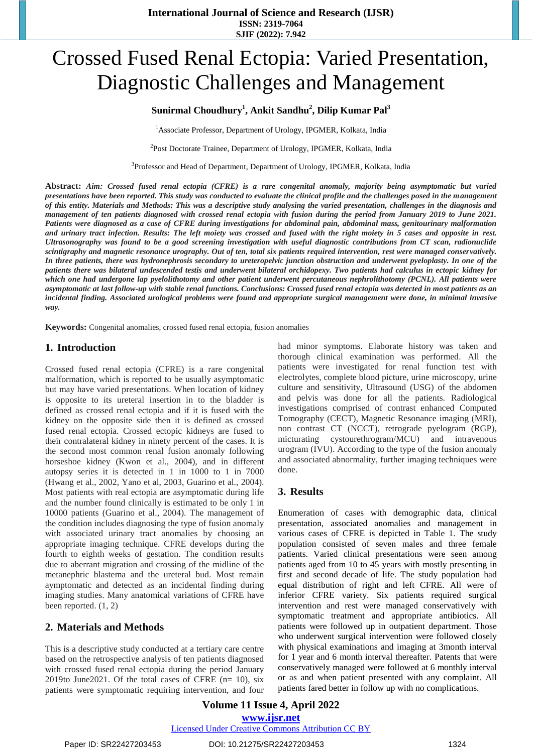# Crossed Fused Renal Ectopia: Varied Presentation, Diagnostic Challenges and Management

## **Sunirmal Choudhury<sup>1</sup> , Ankit Sandhu<sup>2</sup> , Dilip Kumar Pal<sup>3</sup>**

<sup>1</sup> Associate Professor, Department of Urology, IPGMER, Kolkata, India

<sup>2</sup>Post Doctorate Trainee, Department of Urology, IPGMER, Kolkata, India

<sup>3</sup>Professor and Head of Department, Department of Urology, IPGMER, Kolkata, India

**Abstract:** *Aim: Crossed fused renal ectopia (CFRE) is a rare congenital anomaly, majority being asymptomatic but varied presentations have been reported. This study was conducted to evaluate the clinical profile and the challenges posed in the management of this entity. Materials and Methods: This was a descriptive study analysing the varied presentation, challenges in the diagnosis and management of ten patients diagnosed with crossed renal ectopia with fusion during the period from January 2019 to June 2021. Patients were diagnosed as a case of CFRE during investigations for abdominal pain, abdominal mass, genitourinary malformation and urinary tract infection. Results: The left moiety was crossed and fused with the right moiety in 5 cases and opposite in rest. Ultrasonography was found to be a good screening investigation with useful diagnostic contributions from CT scan, radionuclide scintigraphy and magnetic resonance urography. Out of ten, total six patients required intervention, rest were managed conservatively. In three patients, there was hydronephrosis secondary to ureteropelvic junction obstruction and underwent pyeloplasty. In one of the patients there was bilateral undescended testis and underwent bilateral orchidopexy. Two patients had calculus in ectopic kidney for which one had undergone lap pyelolithotomy and other patient underwent percutaneous nephrolithotomy (PCNL). All patients were asymptomatic at last follow-up with stable renal functions. Conclusions: Crossed fused renal ectopia was detected in most patients as an incidental finding. Associated urological problems were found and appropriate surgical management were done, in minimal invasive way.*

**Keywords:** Congenital anomalies, crossed fused renal ectopia, fusion anomalies

### **1. Introduction**

Crossed fused renal ectopia (CFRE) is a rare congenital malformation, which is reported to be usually asymptomatic but may have varied presentations. When location of kidney is opposite to its ureteral insertion in to the bladder is defined as crossed renal ectopia and if it is fused with the kidney on the opposite side then it is defined as crossed fused renal ectopia. Crossed ectopic kidneys are fused to their contralateral kidney in ninety percent of the cases. It is the second most common renal fusion anomaly following horseshoe kidney (Kwon et al., 2004), and in different autopsy series it is detected in 1 in 1000 to 1 in 7000 (Hwang et al., 2002, Yano et al, 2003, Guarino et al., 2004). Most patients with real ectopia are asymptomatic during life and the number found clinically is estimated to be only 1 in 10000 patients (Guarino et al., 2004). The management of the condition includes diagnosing the type of fusion anomaly with associated urinary tract anomalies by choosing an appropriate imaging technique. CFRE develops during the fourth to eighth weeks of gestation. The condition results due to aberrant migration and crossing of the midline of the metanephric blastema and the ureteral bud. Most remain aymptomatic and detected as an incidental finding during imaging studies. Many anatomical variations of CFRE have been reported. (1, 2)

### **2. Materials and Methods**

This is a descriptive study conducted at a tertiary care centre based on the retrospective analysis of ten patients diagnosed with crossed fused renal ectopia during the period January 2019to June2021. Of the total cases of CFRE  $(n=10)$ , six patients were symptomatic requiring intervention, and four had minor symptoms. Elaborate history was taken and thorough clinical examination was performed. All the patients were investigated for renal function test with electrolytes, complete blood picture, urine microscopy, urine culture and sensitivity, Ultrasound (USG) of the abdomen and pelvis was done for all the patients. Radiological investigations comprised of contrast enhanced Computed Tomography (CECT), Magnetic Resonance imaging (MRI), non contrast CT (NCCT), retrograde pyelogram (RGP), micturating cystourethrogram/MCU) and intravenous urogram (IVU). According to the type of the fusion anomaly and associated abnormality, further imaging techniques were done.

## **3. Results**

Enumeration of cases with demographic data, clinical presentation, associated anomalies and management in various cases of CFRE is depicted in [Table](https://www.ncbi.nlm.nih.gov/pmc/articles/PMC7595008/table/t1-tju-45-supplement1-s92/) 1. The study population consisted of seven males and three female patients. Varied clinical presentations were seen among patients aged from 10 to 45 years with mostly presenting in first and second decade of life. The study population had equal distribution of right and left CFRE. All were of inferior CFRE variety. Six patients required surgical intervention and rest were managed conservatively with symptomatic treatment and appropriate antibiotics. All patients were followed up in outpatient department. Those who underwent surgical intervention were followed closely with physical examinations and imaging at 3month interval for 1 year and 6 month interval thereafter. Patents that were conservatively managed were followed at 6 monthly interval or as and when patient presented with any complaint. All patients fared better in follow up with no complications.

**Volume 11 Issue 4, April 2022 www.ijsr.net** Licensed Under Creative Commons Attribution CC BY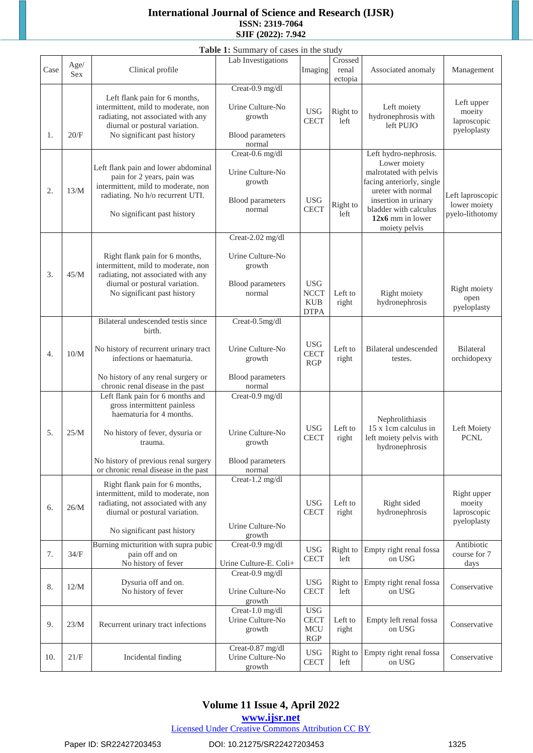## **International Journal of Science and Research (IJSR) ISSN: 2319-7064 SJIF (2022): 7.942**

| Table 1: Summary of cases in the study |      |                                                                                                                                                                                                                        |                                                                              |                                                           |                  |                                                                                                                                                                                                          |                                                     |
|----------------------------------------|------|------------------------------------------------------------------------------------------------------------------------------------------------------------------------------------------------------------------------|------------------------------------------------------------------------------|-----------------------------------------------------------|------------------|----------------------------------------------------------------------------------------------------------------------------------------------------------------------------------------------------------|-----------------------------------------------------|
|                                        | Age/ |                                                                                                                                                                                                                        | Lab Investigations                                                           |                                                           | Crossed          |                                                                                                                                                                                                          |                                                     |
| Case                                   | Sex  | Clinical profile                                                                                                                                                                                                       |                                                                              | Imaging                                                   | renal<br>ectopia | Associated anomaly                                                                                                                                                                                       | Management                                          |
|                                        |      | Left flank pain for 6 months,<br>intermittent, mild to moderate, non<br>radiating, not associated with any                                                                                                             | Creat-0.9 mg/dl<br>Urine Culture-No<br>growth                                | <b>USG</b>                                                | Right to         | Left moiety<br>hydronephrosis with                                                                                                                                                                       | Left upper<br>moeity                                |
| 1.                                     | 20/F | diurnal or postural variation.<br>No significant past history                                                                                                                                                          | Blood parameters<br>normal                                                   | <b>CECT</b>                                               | left             | left PUJO                                                                                                                                                                                                | laproscopic<br>pyeloplasty                          |
| 2.                                     | 13/M | Left flank pain and lower abdominal<br>pain for 2 years, pain was<br>intermittent, mild to moderate, non<br>radiating. No h/o recurrent UTI.<br>No significant past history                                            | Creat-0.6 mg/dl<br>Urine Culture-No<br>growth<br>Blood parameters<br>normal  | <b>USG</b><br><b>CECT</b>                                 | Right to<br>left | Left hydro-nephrosis.<br>Lower moiety<br>malrotated with pelvis<br>facing anteriorly, single<br>ureter with normal<br>insertion in urinary<br>bladder with calculus<br>12x6 mm in lower<br>moiety pelvis | Left laproscopic<br>lower moiety<br>pyelo-lithotomy |
| 3.                                     | 45/M | Right flank pain for 6 months,<br>intermittent, mild to moderate, non<br>radiating, not associated with any<br>diurnal or postural variation.<br>No significant past history                                           | Creat-2.02 mg/dl<br>Urine Culture-No<br>growth<br>Blood parameters<br>normal | <b>USG</b><br><b>NCCT</b><br><b>KUB</b><br><b>DTPA</b>    | Left to<br>right | Right moiety<br>hydronephrosis                                                                                                                                                                           | Right moiety<br>open<br>pyeloplasty                 |
| $\overline{4}$ .                       | 10/M | Bilateral undescended testis since<br>birth.<br>No history of recurrent urinary tract<br>infections or haematuria.<br>No history of any renal surgery or                                                               | Creat-0.5mg/dl<br>Urine Culture-No<br>growth<br>Blood parameters             | <b>USG</b><br><b>CECT</b><br>RGP                          | Left to<br>right | Bilateral undescended<br>testes.                                                                                                                                                                         | Bilateral<br>orchidopexy                            |
| 5.                                     | 25/M | chronic renal disease in the past<br>Left flank pain for 6 months and<br>gross intermittent painless<br>haematuria for 4 months.<br>No history of fever, dysuria or<br>trauma.<br>No history of previous renal surgery | normal<br>Creat-0.9 mg/dl<br>Urine Culture-No<br>growth<br>Blood parameters  | <b>USG</b><br><b>CECT</b>                                 | Left to<br>right | Nephrolithiasis<br>15 x 1cm calculus in<br>left moiety pelvis with<br>hydronephrosis                                                                                                                     | Left Moiety<br><b>PCNL</b>                          |
| 6.                                     | 26/M | or chronic renal disease in the past<br>Right flank pain for 6 months,<br>intermittent, mild to moderate, non<br>radiating, not associated with any<br>diurnal or postural variation.<br>No significant past history   | normal<br>Creat-1.2 mg/dl<br>Urine Culture-No<br>growth                      | <b>USG</b><br><b>CECT</b>                                 | Left to<br>right | Right sided<br>hydronephrosis                                                                                                                                                                            | Right upper<br>moeity<br>laproscopic<br>pyeloplasty |
| 7.                                     | 34/F | Burning micturition with supra pubic<br>pain off and on<br>No history of fever                                                                                                                                         | Creat-0.9 mg/dl<br>Urine Culture-E. Coli+                                    | <b>USG</b><br><b>CECT</b>                                 | Right to<br>left | Empty right renal fossa<br>on USG                                                                                                                                                                        | Antibiotic<br>course for 7<br>days                  |
| 8.                                     | 12/M | Dysuria off and on.<br>No history of fever                                                                                                                                                                             | Creat-0.9 mg/dl<br>Urine Culture-No<br>growth                                | <b>USG</b><br><b>CECT</b>                                 | Right to<br>left | Empty right renal fossa<br>on USG                                                                                                                                                                        | Conservative                                        |
| 9.                                     | 23/M | Recurrent urinary tract infections                                                                                                                                                                                     | Creat-1.0 mg/dl<br>Urine Culture-No<br>growth                                | <b>USG</b><br><b>CECT</b><br><b>MCU</b><br>$\mathbf{RGP}$ | Left to<br>right | Empty left renal fossa<br>on USG                                                                                                                                                                         | Conservative                                        |
| 10.                                    | 21/F | Incidental finding                                                                                                                                                                                                     | Creat-0.87 mg/dl<br>Urine Culture-No<br>growth                               | <b>USG</b><br><b>CECT</b>                                 | Right to<br>left | Empty right renal fossa<br>on USG                                                                                                                                                                        | Conservative                                        |

**Volume 11 Issue 4, April 2022**

**www.ijsr.net**

Licensed Under Creative Commons Attribution CC BY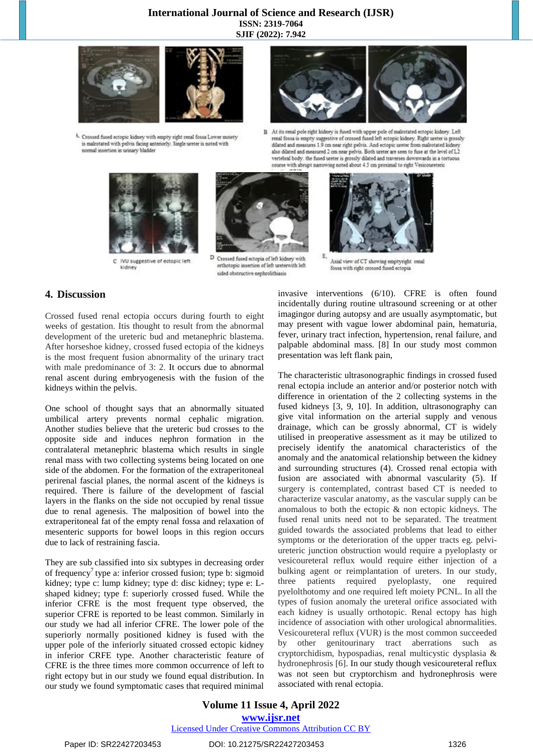#### **International Journal of Science and Research (IJSR) ISSN: 2319-7064 SJIF (2022): 7.942**



A. Crossed fused ectopic kidney with empty right renal fossa Lower moiety is malrotated with pelvis facing anteriorly. Single ureter is noted with normal insertion in urinary bladder



At its renal pole right kidney is fused with upper pole of malrotated ectopic kidney. Left renal fossa is empty suggestive of crossed fused left ectopic kidney. Right ureter is grossly  $\overline{B}$ dilated and measures 1.9 cm near right pelvis. And ectopic ureter from malrotated k also dilated and measured 2 cm near pelvis. Both ureter are seen to fuse at the level of L2 vertebral body, the fused ureter is grossly dilated and traverses downwards in a tortuous course with abrupt narrowing noted about 4.5 cm proximal to right Vesicoureteric



C IVU suggestive of ectopic left kidney



D Crossed fused ectopia of left kidney with orthotopic insertion of left ureterwith left sided obstructive nephrolithiasis



Axial view of CT showing emptyright renal fossa with right crossed fused ectopia

## **4. Discussion**

Crossed fused renal ectopia occurs during fourth to eight weeks of gestation. Itis thought to result from the abnormal development of the ureteric bud and metanephric blastema. After horseshoe kidney, crossed fused ectopia of the kidneys is the most frequent fusion abnormality of the urinary tract with male predominance of 3: 2. It occurs due to abnormal renal ascent during embryogenesis with the fusion of the kidneys within the pelvis.

One school of thought says that an abnormally situated umbilical artery prevents normal cephalic migration. Another studies believe that the ureteric bud crosses to the opposite side and induces nephron formation in the contralateral metanephric blastema which results in single renal mass with two collecting systems being located on one side of the abdomen. For the formation of the extraperitoneal perirenal fascial planes, the normal ascent of the kidneys is required. There is failure of the development of fascial layers in the flanks on the side not occupied by renal tissue due to renal agenesis. The malposition of bowel into the extraperitoneal fat of the empty renal fossa and relaxation of mesenteric supports for bowel loops in this region occurs due to lack of restraining fascia.

They are sub classified into six subtypes in decreasing order of frequency<sup>7</sup> type a: inferior crossed fusion; type b: sigmoid kidney; type c: lump kidney; type d: disc kidney; type e: Lshaped kidney; type f: superiorly crossed fused. While the inferior CFRE is the most frequent type observed, the superior CFRE is reported to be least common. Similarly in our study we had all inferior CFRE. The lower pole of the superiorly normally positioned kidney is fused with the upper pole of the inferiorly situated crossed ectopic kidney in inferior CRFE type. Another characteristic feature of CFRE is the three times more common occurrence of left to right ectopy but in our study we found equal distribution. In our study we found symptomatic cases that required minimal invasive interventions (6/10). CFRE is often found incidentally during routine ultrasound screening or at other imagingor during autopsy and are usually asymptomatic, but may present with vague lower abdominal pain, hematuria, fever, urinary tract infection, hypertension, renal failure, and palpable abdominal mass. [8] In our study most common presentation was left flank pain,

The characteristic ultrasonographic findings in crossed fused renal ectopia include an anterior and/or posterior notch with difference in orientation of the 2 collecting systems in the fused kidneys [3, 9, 10]. In addition, ultrasonography can give vital information on the arterial supply and venous drainage, which can be grossly abnormal, CT is widely utilised in preoperative assessment as it may be utilized to precisely identify the anatomical characteristics of the anomaly and the anatomical relationship between the kidney and surrounding structures (4). Crossed renal ectopia with fusion are associated with abnormal vascularity (5). If surgery is contemplated, contrast based CT is needed to characterize vascular anatomy, as the vascular supply can be anomalous to both the ectopic & non ectopic kidneys. The fused renal units need not to be separated. The treatment guided towards the associated problems that lead to either symptoms or the deterioration of the upper tracts eg. pelviureteric junction obstruction would require a pyeloplasty or vesicoureteral reflux would require either injection of a bulking agent or reimplantation of ureters. In our study, three patients required pyeloplasty, one required pyelolthotomy and one required left moiety PCNL. In all the types of fusion anomaly the ureteral orifice associated with each kidney is usually orthotopic. Renal ectopy has high incidence of association with other urological abnormalities. Vesicoureteral reflux (VUR) is the most common succeeded by other genitourinary tract aberrations such as cryptorchidism, hypospadias, renal multicystic dysplasia & hydronephrosis [6]. In our study though vesicoureteral reflux was not seen but cryptorchism and hydronephrosis were associated with renal ectopia.

Paper ID: SR22427203453 DOI: 10.21275/SR22427203453 1326